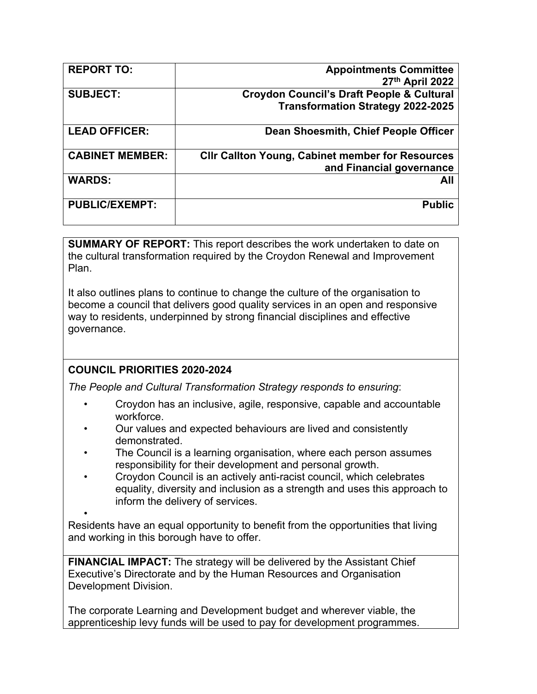| <b>REPORT TO:</b>      | <b>Appointments Committee</b>                           |
|------------------------|---------------------------------------------------------|
|                        | 27th April 2022                                         |
| <b>SUBJECT:</b>        | <b>Croydon Council's Draft People &amp; Cultural</b>    |
|                        | <b>Transformation Strategy 2022-2025</b>                |
| <b>LEAD OFFICER:</b>   | Dean Shoesmith, Chief People Officer                    |
| <b>CABINET MEMBER:</b> | <b>CIIr Callton Young, Cabinet member for Resources</b> |
|                        | and Financial governance                                |
| <b>WARDS:</b>          | All                                                     |
| <b>PUBLIC/EXEMPT:</b>  | <b>Public</b>                                           |
|                        |                                                         |

**SUMMARY OF REPORT:** This report describes the work undertaken to date on the cultural transformation required by the Croydon Renewal and Improvement Plan.

It also outlines plans to continue to change the culture of the organisation to become a council that delivers good quality services in an open and responsive way to residents, underpinned by strong financial disciplines and effective governance.

# **COUNCIL PRIORITIES 2020-2024**

*The People and Cultural Transformation Strategy responds to ensuring*:

- Croydon has an inclusive, agile, responsive, capable and accountable workforce.
- Our values and expected behaviours are lived and consistently demonstrated.
- The Council is a learning organisation, where each person assumes responsibility for their development and personal growth.
- Croydon Council is an actively anti-racist council, which celebrates equality, diversity and inclusion as a strength and uses this approach to inform the delivery of services.

• Residents have an equal opportunity to benefit from the opportunities that living and working in this borough have to offer.

**FINANCIAL IMPACT:** The strategy will be delivered by the Assistant Chief Executive's Directorate and by the Human Resources and Organisation Development Division.

The corporate Learning and Development budget and wherever viable, the apprenticeship levy funds will be used to pay for development programmes.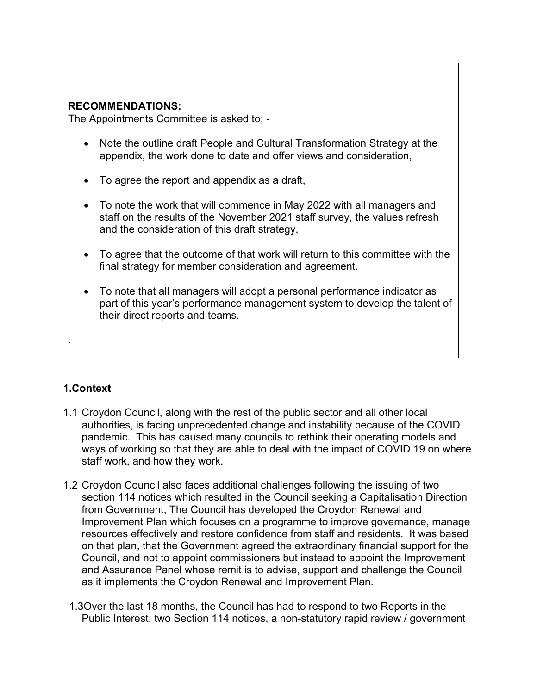#### **RECOMMENDATIONS:**

The Appointments Committee is asked to; -

- Note the outline draft People and Cultural Transformation Strategy at the appendix, the work done to date and offer views and consideration,
- To agree the report and appendix as a draft,
- To note the work that will commence in May 2022 with all managers and staff on the results of the November 2021 staff survey, the values refresh and the consideration of this draft strategy,
- To agree that the outcome of that work will return to this committee with the final strategy for member consideration and agreement.
- To note that all managers will adopt a personal performance indicator as part of this year's performance management system to develop the talent of their direct reports and teams.

# **1.Context**

.

- 1.1 Croydon Council, along with the rest of the public sector and all other local authorities, is facing unprecedented change and instability because of the COVID pandemic. This has caused many councils to rethink their operating models and ways of working so that they are able to deal with the impact of COVID 19 on where staff work, and how they work.
- 1.2 Croydon Council also faces additional challenges following the issuing of two section 114 notices which resulted in the Council seeking a Capitalisation Direction from Government, The Council has developed the Croydon Renewal and Improvement Plan which focuses on a programme to improve governance, manage resources effectively and restore confidence from staff and residents. It was based on that plan, that the Government agreed the extraordinary financial support for the Council, and not to appoint commissioners but instead to appoint the Improvement and Assurance Panel whose remit is to advise, support and challenge the Council as it implements the Croydon Renewal and Improvement Plan.
	- 1.3Over the last 18 months, the Council has had to respond to two Reports in the Public Interest, two Section 114 notices, a non-statutory rapid review / government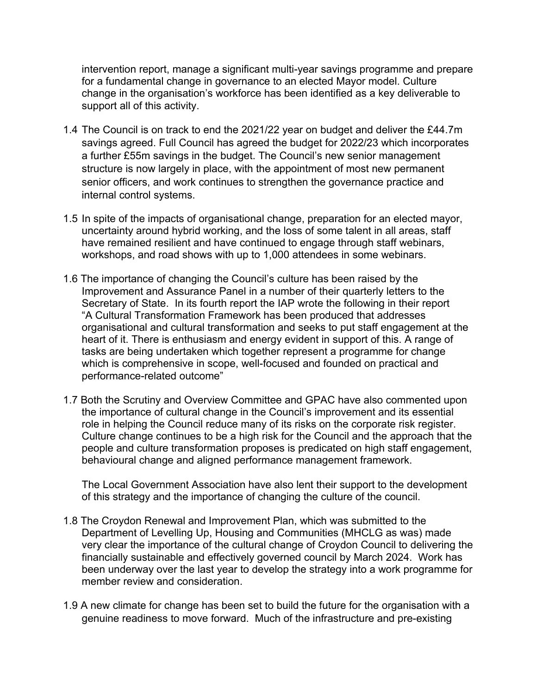intervention report, manage a significant multi-year savings programme and prepare for a fundamental change in governance to an elected Mayor model. Culture change in the organisation's workforce has been identified as a key deliverable to support all of this activity.

- 1.4 The Council is on track to end the 2021/22 year on budget and deliver the £44.7m savings agreed. Full Council has agreed the budget for 2022/23 which incorporates a further £55m savings in the budget. The Council's new senior management structure is now largely in place, with the appointment of most new permanent senior officers, and work continues to strengthen the governance practice and internal control systems.
- 1.5 In spite of the impacts of organisational change, preparation for an elected mayor, uncertainty around hybrid working, and the loss of some talent in all areas, staff have remained resilient and have continued to engage through staff webinars, workshops, and road shows with up to 1,000 attendees in some webinars.
- 1.6 The importance of changing the Council's culture has been raised by the Improvement and Assurance Panel in a number of their quarterly letters to the Secretary of State. In its fourth report the IAP wrote the following in their report "A Cultural Transformation Framework has been produced that addresses organisational and cultural transformation and seeks to put staff engagement at the heart of it. There is enthusiasm and energy evident in support of this. A range of tasks are being undertaken which together represent a programme for change which is comprehensive in scope, well-focused and founded on practical and performance-related outcome"
- 1.7 Both the Scrutiny and Overview Committee and GPAC have also commented upon the importance of cultural change in the Council's improvement and its essential role in helping the Council reduce many of its risks on the corporate risk register. Culture change continues to be a high risk for the Council and the approach that the people and culture transformation proposes is predicated on high staff engagement, behavioural change and aligned performance management framework.

The Local Government Association have also lent their support to the development of this strategy and the importance of changing the culture of the council.

- 1.8 The Croydon Renewal and Improvement Plan, which was submitted to the Department of Levelling Up, Housing and Communities (MHCLG as was) made very clear the importance of the cultural change of Croydon Council to delivering the financially sustainable and effectively governed council by March 2024. Work has been underway over the last year to develop the strategy into a work programme for member review and consideration.
- 1.9 A new climate for change has been set to build the future for the organisation with a genuine readiness to move forward. Much of the infrastructure and pre-existing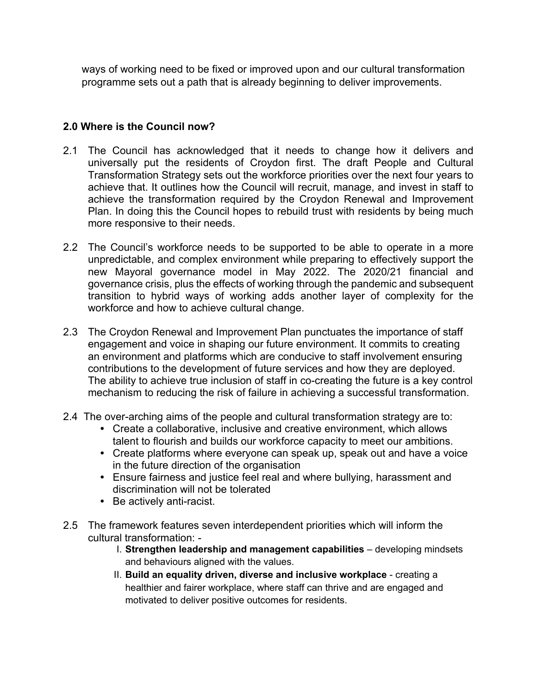ways of working need to be fixed or improved upon and our cultural transformation programme sets out a path that is already beginning to deliver improvements.

### **2.0 Where is the Council now?**

- 2.1 The Council has acknowledged that it needs to change how it delivers and universally put the residents of Croydon first. The draft People and Cultural Transformation Strategy sets out the workforce priorities over the next four years to achieve that. It outlines how the Council will recruit, manage, and invest in staff to achieve the transformation required by the Croydon Renewal and Improvement Plan. In doing this the Council hopes to rebuild trust with residents by being much more responsive to their needs.
- 2.2 The Council's workforce needs to be supported to be able to operate in a more unpredictable, and complex environment while preparing to effectively support the new Mayoral governance model in May 2022. The 2020/21 financial and governance crisis, plus the effects of working through the pandemic and subsequent transition to hybrid ways of working adds another layer of complexity for the workforce and how to achieve cultural change.
- 2.3 The Croydon Renewal and Improvement Plan punctuates the importance of staff engagement and voice in shaping our future environment. It commits to creating an environment and platforms which are conducive to staff involvement ensuring contributions to the development of future services and how they are deployed. The ability to achieve true inclusion of staff in co-creating the future is a key control mechanism to reducing the risk of failure in achieving a successful transformation.
- 2.4 The over-arching aims of the people and cultural transformation strategy are to:
	- **•** Create a collaborative, inclusive and creative environment, which allows talent to flourish and builds our workforce capacity to meet our ambitions.
	- **•** Create platforms where everyone can speak up, speak out and have a voice in the future direction of the organisation
	- **•** Ensure fairness and justice feel real and where bullying, harassment and discrimination will not be tolerated
	- **•** Be actively anti-racist.
- 2.5 The framework features seven interdependent priorities which will inform the cultural transformation: -
	- I. **Strengthen leadership and management capabilities** developing mindsets and behaviours aligned with the values.
	- II. **Build an equality driven, diverse and inclusive workplace** creating a healthier and fairer workplace, where staff can thrive and are engaged and motivated to deliver positive outcomes for residents.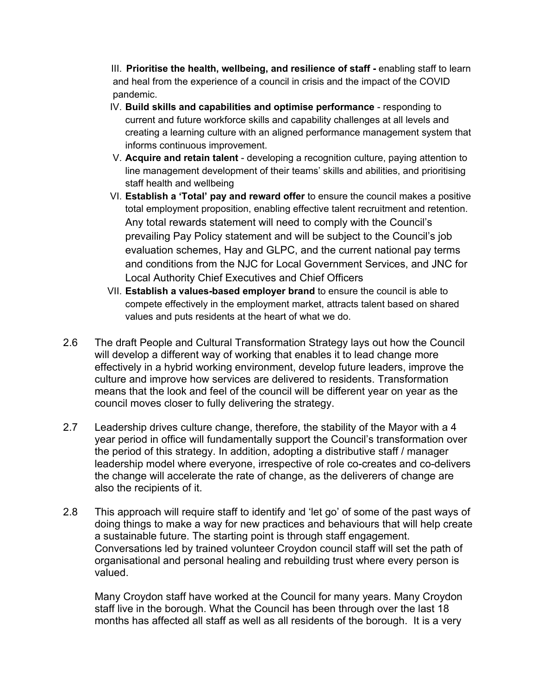III. **Prioritise the health, wellbeing, and resilience of staff -** enabling staff to learn and heal from the experience of a council in crisis and the impact of the COVID pandemic.

- IV. **Build skills and capabilities and optimise performance** responding to current and future workforce skills and capability challenges at all levels and creating a learning culture with an aligned performance management system that informs continuous improvement.
- V. **Acquire and retain talent** developing a recognition culture, paying attention to line management development of their teams' skills and abilities, and prioritising staff health and wellbeing
- VI. **Establish a 'Total' pay and reward offer** to ensure the council makes a positive total employment proposition, enabling effective talent recruitment and retention. Any total rewards statement will need to comply with the Council's prevailing Pay Policy statement and will be subject to the Council's job evaluation schemes, Hay and GLPC, and the current national pay terms and conditions from the NJC for Local Government Services, and JNC for Local Authority Chief Executives and Chief Officers
- VII. **Establish a values-based employer brand** to ensure the council is able to compete effectively in the employment market, attracts talent based on shared values and puts residents at the heart of what we do.
- 2.6 The draft People and Cultural Transformation Strategy lays out how the Council will develop a different way of working that enables it to lead change more effectively in a hybrid working environment, develop future leaders, improve the culture and improve how services are delivered to residents. Transformation means that the look and feel of the council will be different year on year as the council moves closer to fully delivering the strategy.
- 2.7 Leadership drives culture change, therefore, the stability of the Mayor with a 4 year period in office will fundamentally support the Council's transformation over the period of this strategy. In addition, adopting a distributive staff / manager leadership model where everyone, irrespective of role co-creates and co-delivers the change will accelerate the rate of change, as the deliverers of change are also the recipients of it.
- 2.8 This approach will require staff to identify and 'let go' of some of the past ways of doing things to make a way for new practices and behaviours that will help create a sustainable future. The starting point is through staff engagement. Conversations led by trained volunteer Croydon council staff will set the path of organisational and personal healing and rebuilding trust where every person is valued.

Many Croydon staff have worked at the Council for many years. Many Croydon staff live in the borough. What the Council has been through over the last 18 months has affected all staff as well as all residents of the borough. It is a very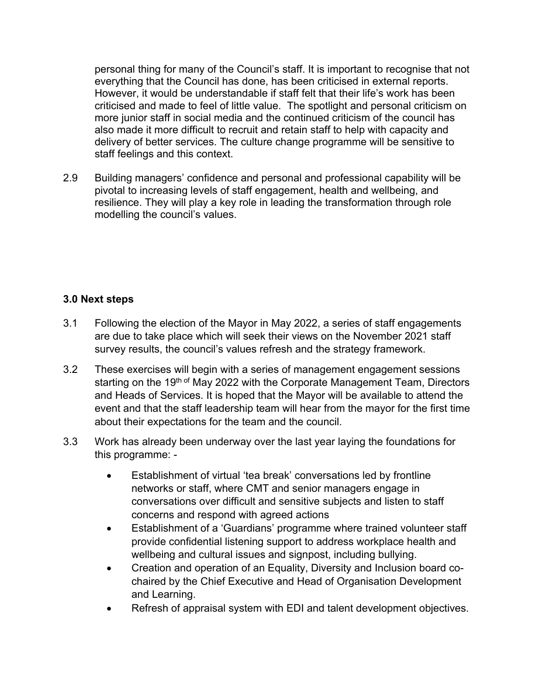personal thing for many of the Council's staff. It is important to recognise that not everything that the Council has done, has been criticised in external reports. However, it would be understandable if staff felt that their life's work has been criticised and made to feel of little value. The spotlight and personal criticism on more junior staff in social media and the continued criticism of the council has also made it more difficult to recruit and retain staff to help with capacity and delivery of better services. The culture change programme will be sensitive to staff feelings and this context.

2.9 Building managers' confidence and personal and professional capability will be pivotal to increasing levels of staff engagement, health and wellbeing, and resilience. They will play a key role in leading the transformation through role modelling the council's values.

### **3.0 Next steps**

- 3.1 Following the election of the Mayor in May 2022, a series of staff engagements are due to take place which will seek their views on the November 2021 staff survey results, the council's values refresh and the strategy framework.
- 3.2 These exercises will begin with a series of management engagement sessions starting on the 19<sup>th of</sup> May 2022 with the Corporate Management Team, Directors and Heads of Services. It is hoped that the Mayor will be available to attend the event and that the staff leadership team will hear from the mayor for the first time about their expectations for the team and the council.
- 3.3 Work has already been underway over the last year laying the foundations for this programme: -
	- Establishment of virtual 'tea break' conversations led by frontline networks or staff, where CMT and senior managers engage in conversations over difficult and sensitive subjects and listen to staff concerns and respond with agreed actions
	- Establishment of a 'Guardians' programme where trained volunteer staff provide confidential listening support to address workplace health and wellbeing and cultural issues and signpost, including bullying.
	- Creation and operation of an Equality, Diversity and Inclusion board cochaired by the Chief Executive and Head of Organisation Development and Learning.
	- Refresh of appraisal system with EDI and talent development objectives.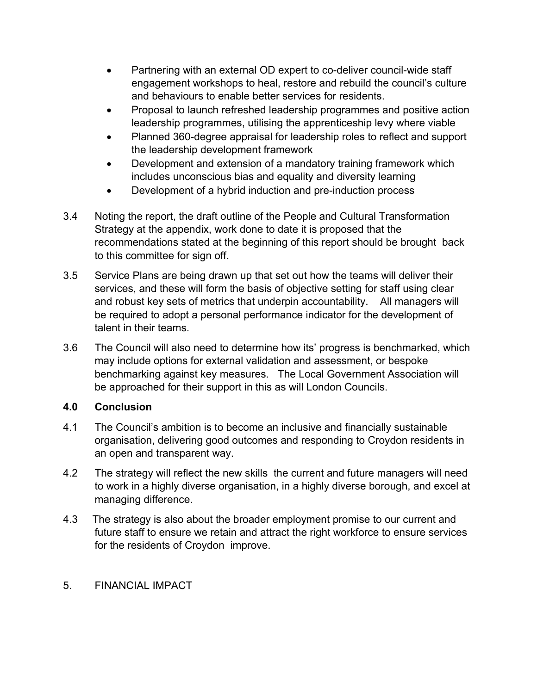- Partnering with an external OD expert to co-deliver council-wide staff engagement workshops to heal, restore and rebuild the council's culture and behaviours to enable better services for residents.
- Proposal to launch refreshed leadership programmes and positive action leadership programmes, utilising the apprenticeship levy where viable
- Planned 360-degree appraisal for leadership roles to reflect and support the leadership development framework
- Development and extension of a mandatory training framework which includes unconscious bias and equality and diversity learning
- Development of a hybrid induction and pre-induction process
- 3.4 Noting the report, the draft outline of the People and Cultural Transformation Strategy at the appendix, work done to date it is proposed that the recommendations stated at the beginning of this report should be brought back to this committee for sign off.
- 3.5 Service Plans are being drawn up that set out how the teams will deliver their services, and these will form the basis of objective setting for staff using clear and robust key sets of metrics that underpin accountability. All managers will be required to adopt a personal performance indicator for the development of talent in their teams.
- 3.6 The Council will also need to determine how its' progress is benchmarked, which may include options for external validation and assessment, or bespoke benchmarking against key measures. The Local Government Association will be approached for their support in this as will London Councils.

# **4.0 Conclusion**

- 4.1 The Council's ambition is to become an inclusive and financially sustainable organisation, delivering good outcomes and responding to Croydon residents in an open and transparent way.
- 4.2 The strategy will reflect the new skills the current and future managers will need to work in a highly diverse organisation, in a highly diverse borough, and excel at managing difference.
- 4.3 The strategy is also about the broader employment promise to our current and future staff to ensure we retain and attract the right workforce to ensure services for the residents of Croydon improve.

# 5. FINANCIAL IMPACT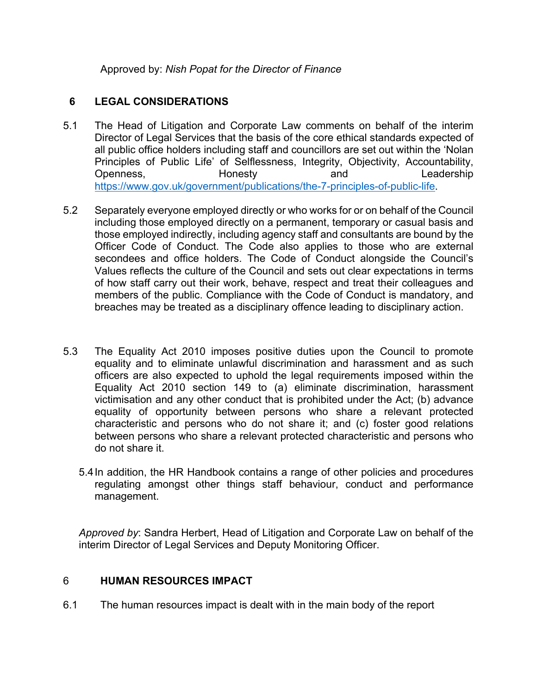Approved by: *Nish Popat for the Director of Finance*

### **6 LEGAL CONSIDERATIONS**

- 5.1 The Head of Litigation and Corporate Law comments on behalf of the interim Director of Legal Services that the basis of the core ethical standards expected of all public office holders including staff and councillors are set out within the 'Nolan Principles of Public Life' of Selflessness, Integrity, Objectivity, Accountability, Openness, **Honesty** and Leadership <https://www.gov.uk/government/publications/the-7-principles-of-public-life>.
- 5.2 Separately everyone employed directly or who works for or on behalf of the Council including those employed directly on a permanent, temporary or casual basis and those employed indirectly, including agency staff and consultants are bound by the Officer Code of Conduct. The Code also applies to those who are external secondees and office holders. The Code of Conduct alongside the Council's Values reflects the culture of the Council and sets out clear expectations in terms of how staff carry out their work, behave, respect and treat their colleagues and members of the public. Compliance with the Code of Conduct is mandatory, and breaches may be treated as a disciplinary offence leading to disciplinary action.
- 5.3 The Equality Act 2010 imposes positive duties upon the Council to promote equality and to eliminate unlawful discrimination and harassment and as such officers are also expected to uphold the legal requirements imposed within the Equality Act 2010 section 149 to (a) eliminate discrimination, harassment victimisation and any other conduct that is prohibited under the Act; (b) advance equality of opportunity between persons who share a relevant protected characteristic and persons who do not share it; and (c) foster good relations between persons who share a relevant protected characteristic and persons who do not share it.
	- 5.4In addition, the HR Handbook contains a range of other policies and procedures regulating amongst other things staff behaviour, conduct and performance management.

*Approved by*: Sandra Herbert, Head of Litigation and Corporate Law on behalf of the interim Director of Legal Services and Deputy Monitoring Officer.

#### 6 **HUMAN RESOURCES IMPACT**

6.1 The human resources impact is dealt with in the main body of the report